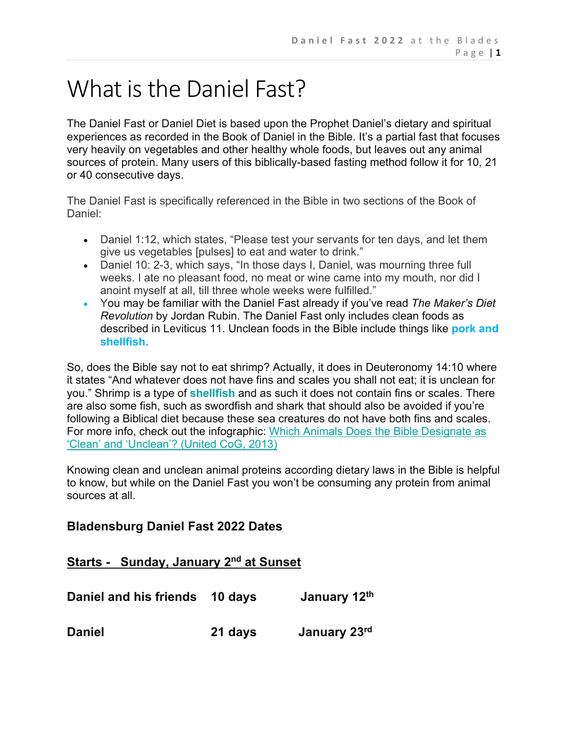# What is the Daniel Fast?

The Daniel Fast or Daniel Diet is based upon the Prophet Daniel's dietary and spiritual experiences as recorded in the Book of Daniel in the Bible. It's a partial fast that focuses very heavily on vegetables and other healthy whole foods, but leaves out any animal sources of protein. Many users of this biblically-based fasting method follow it for 10, 21 or 40 consecutive days.

The Daniel Fast is specifically referenced in the Bible in two sections of the Book of Daniel:

- Daniel 1:12, which states, "Please test your servants for ten days, and let them give us vegetables [pulses] to eat and water to drink."
- Daniel 10: 2-3, which says, "In those days I, Daniel, was mourning three full weeks. I ate no pleasant food, no meat or wine came into my mouth, nor did I anoint myself at all, till three whole weeks were fulfilled."
- You may be familiar with the Daniel Fast already if you've read *The Maker's Diet Revolution* by Jordan Rubin. The Daniel Fast only includes clean foods as described in Leviticus 11. Unclean foods in the Bible include things like **pork and shellfish.**

So, does the Bible say not to eat shrimp? Actually, it does in Deuteronomy 14:10 where it states "And whatever does not have fins and scales you shall not eat; it is unclean for you." Shrimp is a type of **shellfish** and as such it does not contain fins or scales. There are also some fish, such as swordfish and shark that should also be avoided if you're following a Biblical diet because these sea creatures do not have both fins and scales. For more info, check out the infographic: Which Animals Does the Bible Designate as 'Clean' and 'Unclean'? (United CoG, 2013)

Knowing clean and unclean animal proteins according dietary laws in the Bible is helpful to know, but while on the Daniel Fast you won't be consuming any protein from animal sources at all.

# **Bladensburg Daniel Fast 2022 Dates**

| Starts - Sunday, January 2 <sup>nd</sup> at Sunset |
|----------------------------------------------------|
|----------------------------------------------------|

| Daniel and his friends 10 days |         | January 12th |
|--------------------------------|---------|--------------|
| <b>Daniel</b>                  | 21 days | January 23rd |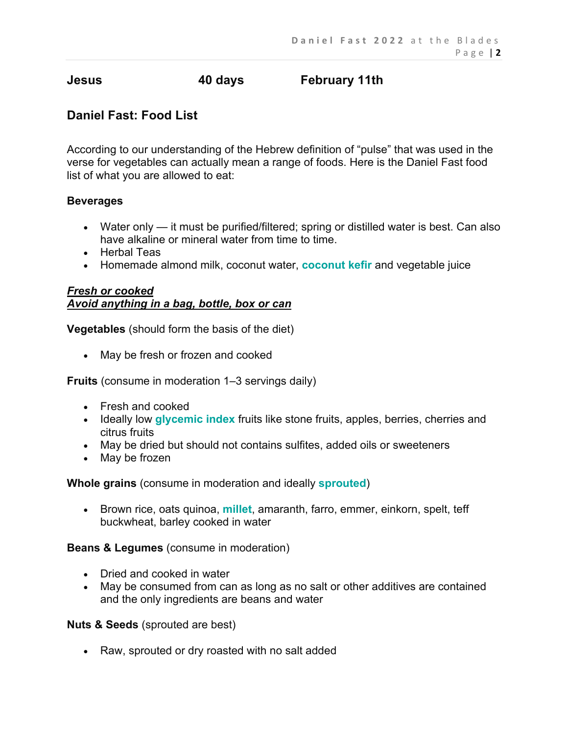# **Jesus 40 days February 11th**

# **Daniel Fast: Food List**

According to our understanding of the Hebrew definition of "pulse" that was used in the verse for vegetables can actually mean a range of foods. Here is the Daniel Fast food list of what you are allowed to eat:

#### **Beverages**

- Water only it must be purified/filtered; spring or distilled water is best. Can also have alkaline or mineral water from time to time.
- Herbal Teas
- Homemade almond milk, coconut water, **coconut kefir** and vegetable juice

#### *Fresh or cooked Avoid anything in a bag, bottle, box or can*

**Vegetables** (should form the basis of the diet)

• May be fresh or frozen and cooked

**Fruits** (consume in moderation 1–3 servings daily)

- Fresh and cooked
- Ideally low **glycemic index** fruits like stone fruits, apples, berries, cherries and citrus fruits
- May be dried but should not contains sulfites, added oils or sweeteners
- May be frozen

**Whole grains** (consume in moderation and ideally **sprouted**)

• Brown rice, oats quinoa, **millet**, amaranth, farro, emmer, einkorn, spelt, teff buckwheat, barley cooked in water

#### **Beans & Legumes** (consume in moderation)

- Dried and cooked in water
- May be consumed from can as long as no salt or other additives are contained and the only ingredients are beans and water

**Nuts & Seeds** (sprouted are best)

• Raw, sprouted or dry roasted with no salt added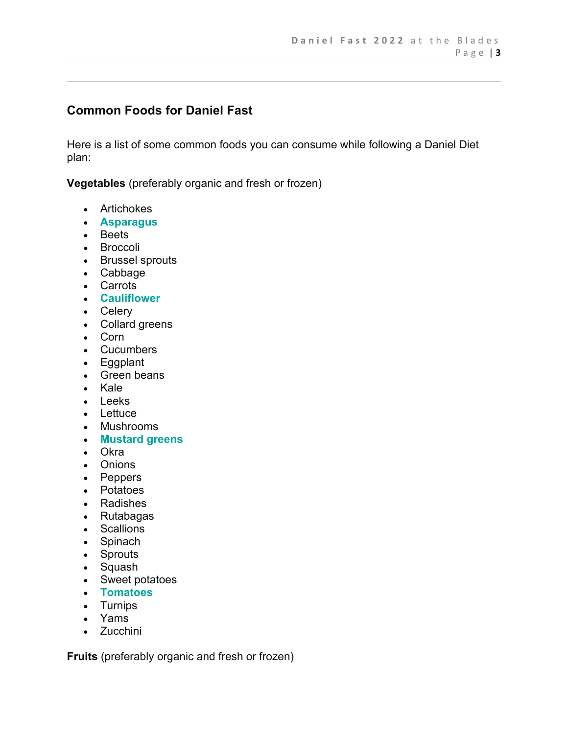# **Common Foods for Daniel Fast**

Here is a list of some common foods you can consume while following a Daniel Diet plan:

**Vegetables** (preferably organic and fresh or frozen)

- Artichokes
- **Asparagus**
- Beets
- Broccoli
- Brussel sprouts
- Cabbage
- Carrots
- **Cauliflower**
- Celery
- Collard greens
- Corn
- Cucumbers
- Eggplant
- Green beans
- Kale
- Leeks
- Lettuce
- Mushrooms
- **Mustard greens**
- Okra
- Onions
- Peppers
- Potatoes
- Radishes
- Rutabagas
- Scallions
- Spinach
- Sprouts
- Squash
- Sweet potatoes
- **Tomatoes**
- Turnips
- Yams
- Zucchini

**Fruits** (preferably organic and fresh or frozen)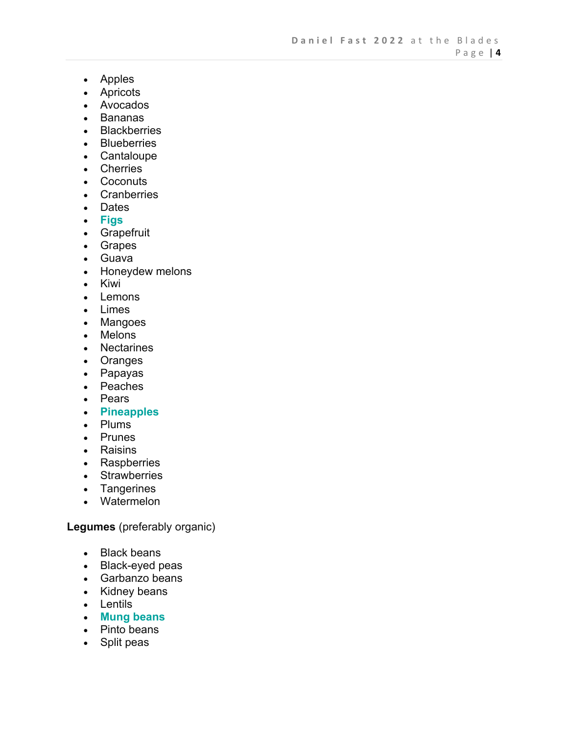- Apples
- Apricots
- Avocados
- Bananas
- Blackberries
- Blueberries
- Cantaloupe
- Cherries
- Coconuts
- Cranberries
- Dates
- **Figs**
- Grapefruit
- Grapes
- Guava
- Honeydew melons
- Kiwi
- Lemons
- Limes
- Mangoes
- Melons
- Nectarines
- Oranges
- Papayas
- Peaches
- Pears
- **Pineapples**
- Plums
- Prunes
- Raisins
- Raspberries
- Strawberries
- Tangerines
- Watermelon

**Legumes** (preferably organic)

- Black beans
- Black-eyed peas
- Garbanzo beans
- Kidney beans
- Lentils
- **Mung beans**
- Pinto beans
- Split peas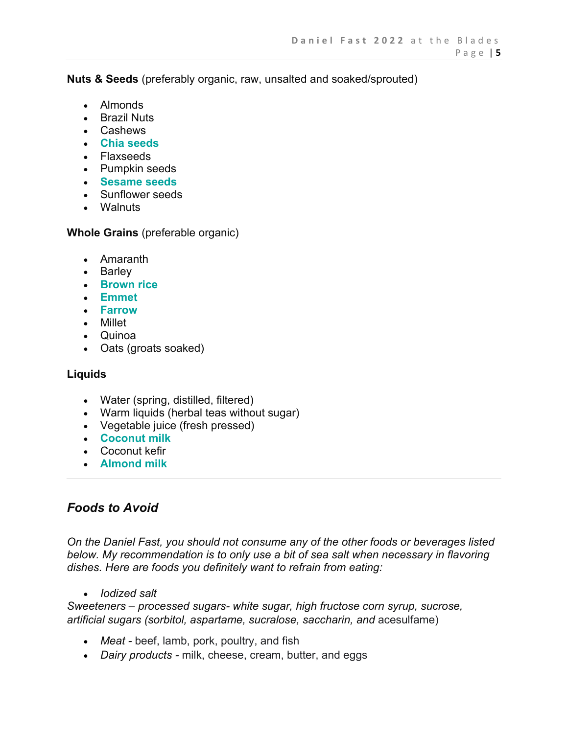**Nuts & Seeds** (preferably organic, raw, unsalted and soaked/sprouted)

- Almonds
- Brazil Nuts
- Cashews
- **Chia seeds**
- Flaxseeds
- Pumpkin seeds
- **Sesame seeds**
- Sunflower seeds
- Walnuts

**Whole Grains** (preferable organic)

- Amaranth
- Barley
- **Brown rice**
- **Emmet**
- **Farrow**
- Millet
- Quinoa
- Oats (groats soaked)

#### **Liquids**

- Water (spring, distilled, filtered)
- Warm liquids (herbal teas without sugar)
- Vegetable juice (fresh pressed)
- **Coconut milk**
- Coconut kefir
- **Almond milk**

# *Foods to Avoid*

*On the Daniel Fast, you should not consume any of the other foods or beverages listed below. My recommendation is to only use a bit of sea salt when necessary in flavoring dishes. Here are foods you definitely want to refrain from eating:*

• *Iodized salt*

*Sweeteners – processed sugars- white sugar, high fructose corn syrup, sucrose, artificial sugars (sorbitol, aspartame, sucralose, saccharin, and acesulfame)* 

- *Meat -* beef, lamb, pork, poultry, and fish
- *Dairy products -* milk, cheese, cream, butter, and eggs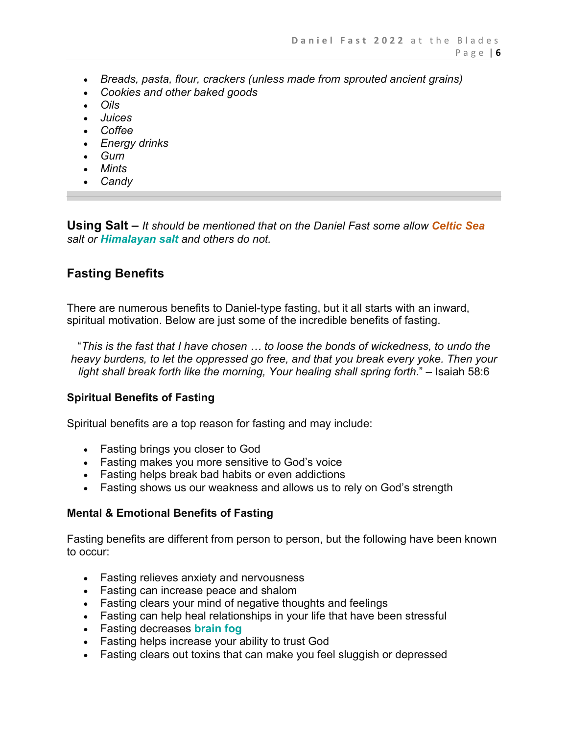- *Breads, pasta, flour, crackers (unless made from sprouted ancient grains)*
- *Cookies and other baked goods*
- *Oils*
- *Juices*
- *Coffee*
- *Energy drinks*
- *Gum*
- *Mints*
- *Candy*

**Using Salt –** *It should be mentioned that on the Daniel Fast some allow Celtic Sea salt or Himalayan salt and others do not.*

#### **Fasting Benefits**

There are numerous benefits to Daniel-type fasting, but it all starts with an inward, spiritual motivation. Below are just some of the incredible benefits of fasting.

"*This is the fast that I have chosen … to loose the bonds of wickedness, to undo the heavy burdens, to let the oppressed go free, and that you break every yoke. Then your light shall break forth like the morning, Your healing shall spring forth*." – Isaiah 58:6

#### **Spiritual Benefits of Fasting**

Spiritual benefits are a top reason for fasting and may include:

- Fasting brings you closer to God
- Fasting makes you more sensitive to God's voice
- Fasting helps break bad habits or even addictions
- Fasting shows us our weakness and allows us to rely on God's strength

#### **Mental & Emotional Benefits of Fasting**

Fasting benefits are different from person to person, but the following have been known to occur:

- Fasting relieves anxiety and nervousness
- Fasting can increase peace and shalom
- Fasting clears your mind of negative thoughts and feelings
- Fasting can help heal relationships in your life that have been stressful
- Fasting decreases **brain fog**
- Fasting helps increase your ability to trust God
- Fasting clears out toxins that can make you feel sluggish or depressed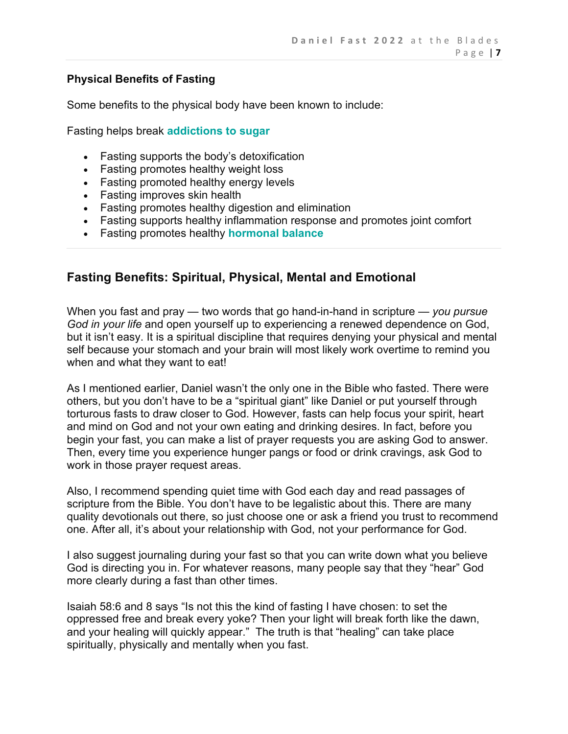#### **Physical Benefits of Fasting**

Some benefits to the physical body have been known to include:

Fasting helps break **addictions to sugar**

- Fasting supports the body's detoxification
- Fasting promotes healthy weight loss
- Fasting promoted healthy energy levels
- Fasting improves skin health
- Fasting promotes healthy digestion and elimination
- Fasting supports healthy inflammation response and promotes joint comfort
- Fasting promotes healthy **hormonal balance**

# **Fasting Benefits: Spiritual, Physical, Mental and Emotional**

When you fast and pray — two words that go hand-in-hand in scripture — *you pursue God in your life* and open yourself up to experiencing a renewed dependence on God, but it isn't easy. It is a spiritual discipline that requires denying your physical and mental self because your stomach and your brain will most likely work overtime to remind you when and what they want to eat!

As I mentioned earlier, Daniel wasn't the only one in the Bible who fasted. There were others, but you don't have to be a "spiritual giant" like Daniel or put yourself through torturous fasts to draw closer to God. However, fasts can help focus your spirit, heart and mind on God and not your own eating and drinking desires. In fact, before you begin your fast, you can make a list of prayer requests you are asking God to answer. Then, every time you experience hunger pangs or food or drink cravings, ask God to work in those prayer request areas.

Also, I recommend spending quiet time with God each day and read passages of scripture from the Bible. You don't have to be legalistic about this. There are many quality devotionals out there, so just choose one or ask a friend you trust to recommend one. After all, it's about your relationship with God, not your performance for God.

I also suggest journaling during your fast so that you can write down what you believe God is directing you in. For whatever reasons, many people say that they "hear" God more clearly during a fast than other times.

Isaiah 58:6 and 8 says "Is not this the kind of fasting I have chosen: to set the oppressed free and break every yoke? Then your light will break forth like the dawn, and your healing will quickly appear." The truth is that "healing" can take place spiritually, physically and mentally when you fast.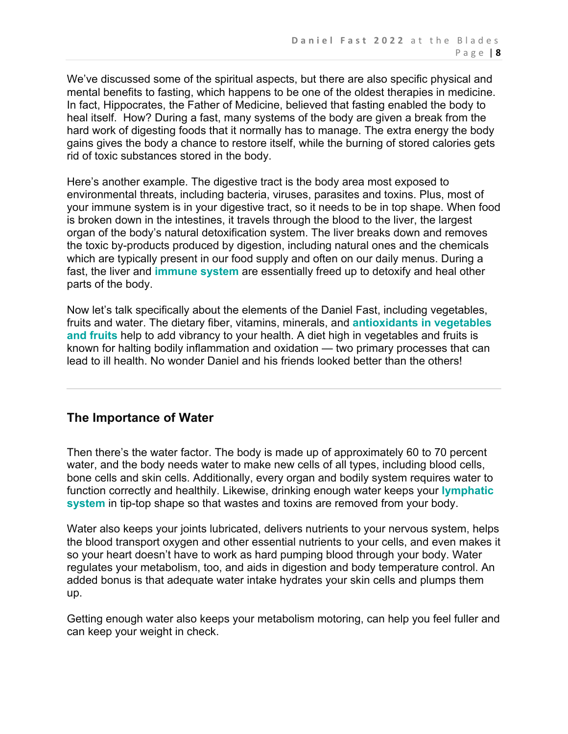We've discussed some of the spiritual aspects, but there are also specific physical and mental benefits to fasting, which happens to be one of the oldest therapies in medicine. In fact, Hippocrates, the Father of Medicine, believed that fasting enabled the body to heal itself. How? During a fast, many systems of the body are given a break from the hard work of digesting foods that it normally has to manage. The extra energy the body gains gives the body a chance to restore itself, while the burning of stored calories gets rid of toxic substances stored in the body.

Here's another example. The digestive tract is the body area most exposed to environmental threats, including bacteria, viruses, parasites and toxins. Plus, most of your immune system is in your digestive tract, so it needs to be in top shape. When food is broken down in the intestines, it travels through the blood to the liver, the largest organ of the body's natural detoxification system. The liver breaks down and removes the toxic by-products produced by digestion, including natural ones and the chemicals which are typically present in our food supply and often on our daily menus. During a fast, the liver and **immune system** are essentially freed up to detoxify and heal other parts of the body.

Now let's talk specifically about the elements of the Daniel Fast, including vegetables, fruits and water. The dietary fiber, vitamins, minerals, and **antioxidants in vegetables and fruits** help to add vibrancy to your health. A diet high in vegetables and fruits is known for halting bodily inflammation and oxidation — two primary processes that can lead to ill health. No wonder Daniel and his friends looked better than the others!

#### **The Importance of Water**

Then there's the water factor. The body is made up of approximately 60 to 70 percent water, and the body needs water to make new cells of all types, including blood cells, bone cells and skin cells. Additionally, every organ and bodily system requires water to function correctly and healthily. Likewise, drinking enough water keeps your **lymphatic system** in tip-top shape so that wastes and toxins are removed from your body.

Water also keeps your joints lubricated, delivers nutrients to your nervous system, helps the blood transport oxygen and other essential nutrients to your cells, and even makes it so your heart doesn't have to work as hard pumping blood through your body. Water regulates your metabolism, too, and aids in digestion and body temperature control. An added bonus is that adequate water intake hydrates your skin cells and plumps them up.

Getting enough water also keeps your metabolism motoring, can help you feel fuller and can keep your weight in check.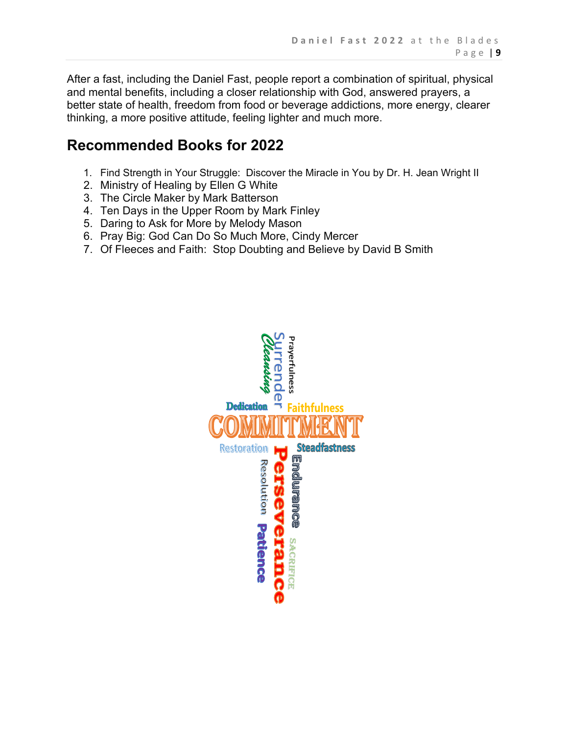After a fast, including the Daniel Fast, people report a combination of spiritual, physical and mental benefits, including a closer relationship with God, answered prayers, a better state of health, freedom from food or beverage addictions, more energy, clearer thinking, a more positive attitude, feeling lighter and much more.

# **Recommended Books for 2022**

- 1. Find Strength in Your Struggle: Discover the Miracle in You by Dr. H. Jean Wright II
- 2. Ministry of Healing by Ellen G White
- 3. The Circle Maker by Mark Batterson
- 4. Ten Days in the Upper Room by Mark Finley
- 5. Daring to Ask for More by Melody Mason
- 6. Pray Big: God Can Do So Much More, Cindy Mercer
- 7. Of Fleeces and Faith: Stop Doubting and Believe by David B Smith

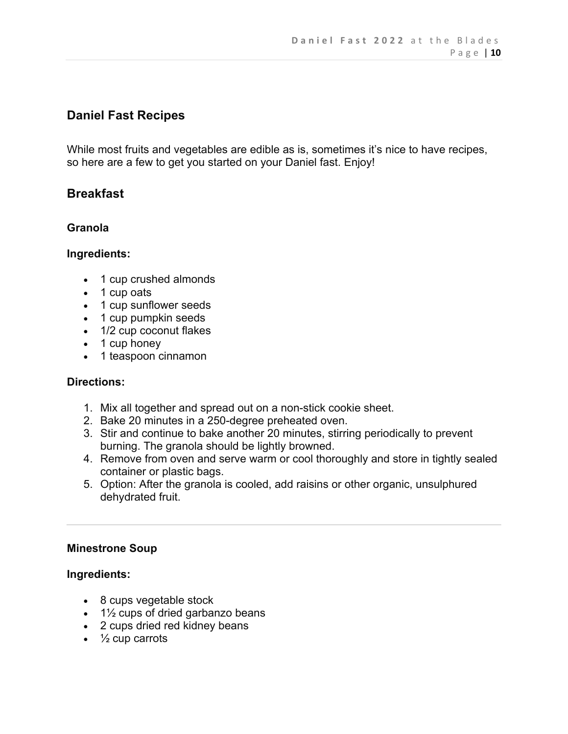# **Daniel Fast Recipes**

While most fruits and vegetables are edible as is, sometimes it's nice to have recipes, so here are a few to get you started on your Daniel fast. Enjoy!

### **Breakfast**

#### **Granola**

#### **Ingredients:**

- 1 cup crushed almonds
- 1 cup oats
- 1 cup sunflower seeds
- 1 cup pumpkin seeds
- 1/2 cup coconut flakes
- 1 cup honey
- 1 teaspoon cinnamon

#### **Directions:**

- 1. Mix all together and spread out on a non-stick cookie sheet.
- 2. Bake 20 minutes in a 250-degree preheated oven.
- 3. Stir and continue to bake another 20 minutes, stirring periodically to prevent burning. The granola should be lightly browned.
- 4. Remove from oven and serve warm or cool thoroughly and store in tightly sealed container or plastic bags.
- 5. Option: After the granola is cooled, add raisins or other organic, unsulphured dehydrated fruit.

#### **Minestrone Soup**

#### **Ingredients:**

- 8 cups vegetable stock
- $\cdot$  1% cups of dried garbanzo beans
- 2 cups dried red kidney beans
- $\cdot$   $\frac{1}{2}$  cup carrots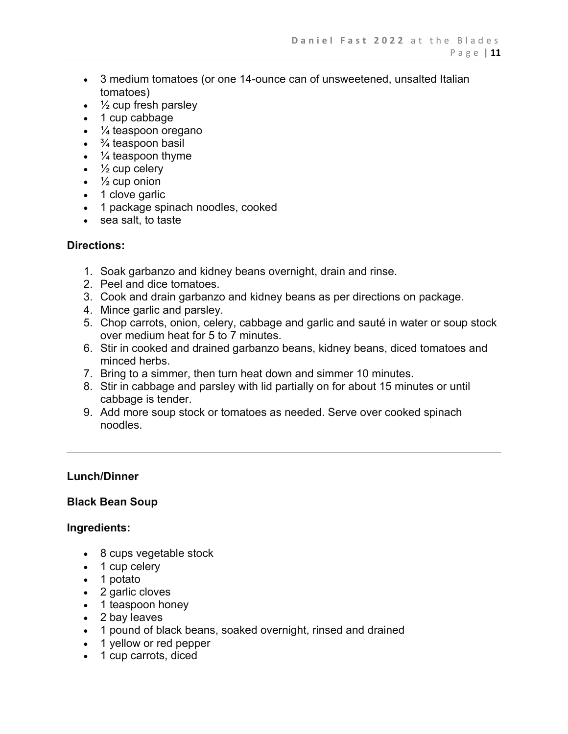- 3 medium tomatoes (or one 14-ounce can of unsweetened, unsalted Italian tomatoes)
- $\bullet$   $\frac{1}{2}$  cup fresh parsley
- 1 cup cabbage
- ¼ teaspoon oregano
- $\cdot$   $\frac{3}{4}$  teaspoon basil
- $\cdot$   $\frac{1}{4}$  teaspoon thyme
- $\cdot$   $\frac{1}{2}$  cup celery
- $\cdot$   $\frac{1}{2}$  cup onion
- 1 clove garlic
- 1 package spinach noodles, cooked
- sea salt, to taste

#### **Directions:**

- 1. Soak garbanzo and kidney beans overnight, drain and rinse.
- 2. Peel and dice tomatoes.
- 3. Cook and drain garbanzo and kidney beans as per directions on package.
- 4. Mince garlic and parsley.
- 5. Chop carrots, onion, celery, cabbage and garlic and sauté in water or soup stock over medium heat for 5 to 7 minutes.
- 6. Stir in cooked and drained garbanzo beans, kidney beans, diced tomatoes and minced herbs.
- 7. Bring to a simmer, then turn heat down and simmer 10 minutes.
- 8. Stir in cabbage and parsley with lid partially on for about 15 minutes or until cabbage is tender.
- 9. Add more soup stock or tomatoes as needed. Serve over cooked spinach noodles.

#### **Lunch/Dinner**

#### **Black Bean Soup**

#### **Ingredients:**

- 8 cups vegetable stock
- 1 cup celery
- 1 potato
- 2 garlic cloves
- 1 teaspoon honey
- 2 bay leaves
- 1 pound of black beans, soaked overnight, rinsed and drained
- 1 yellow or red pepper
- 1 cup carrots, diced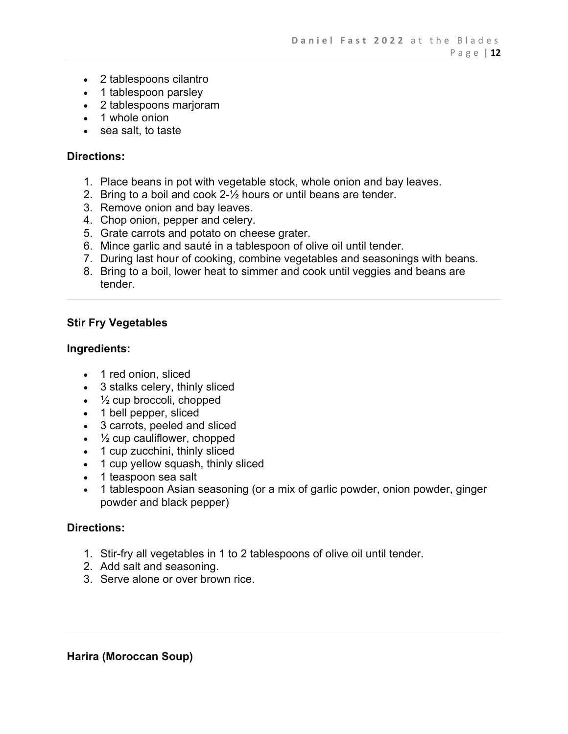- 2 tablespoons cilantro
- 1 tablespoon parsley
- 2 tablespoons marjoram
- 1 whole onion
- sea salt, to taste

#### **Directions:**

- 1. Place beans in pot with vegetable stock, whole onion and bay leaves.
- 2. Bring to a boil and cook 2-½ hours or until beans are tender.
- 3. Remove onion and bay leaves.
- 4. Chop onion, pepper and celery.
- 5. Grate carrots and potato on cheese grater.
- 6. Mince garlic and sauté in a tablespoon of olive oil until tender.
- 7. During last hour of cooking, combine vegetables and seasonings with beans.
- 8. Bring to a boil, lower heat to simmer and cook until veggies and beans are tender.

#### **Stir Fry Vegetables**

#### **Ingredients:**

- 1 red onion, sliced
- 3 stalks celery, thinly sliced
- $\cdot$   $\frac{1}{2}$  cup broccoli, chopped
- 1 bell pepper, sliced
- 3 carrots, peeled and sliced
- $\cdot$   $\frac{1}{2}$  cup cauliflower, chopped
- 1 cup zucchini, thinly sliced
- 1 cup yellow squash, thinly sliced
- 1 teaspoon sea salt
- 1 tablespoon Asian seasoning (or a mix of garlic powder, onion powder, ginger powder and black pepper)

#### **Directions:**

- 1. Stir-fry all vegetables in 1 to 2 tablespoons of olive oil until tender.
- 2. Add salt and seasoning.
- 3. Serve alone or over brown rice.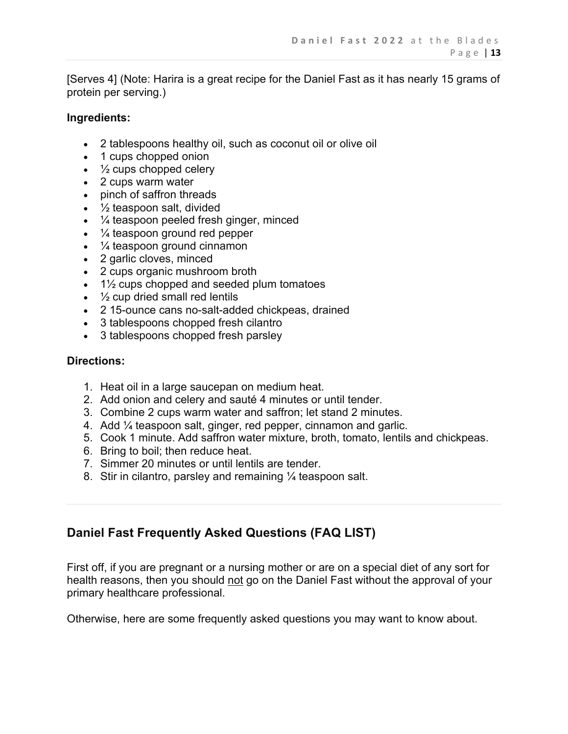[Serves 4] (Note: Harira is a great recipe for the Daniel Fast as it has nearly 15 grams of protein per serving.)

#### **Ingredients:**

- 2 tablespoons healthy oil, such as coconut oil or olive oil
- 1 cups chopped onion
- $\cdot$   $\frac{1}{2}$  cups chopped celery
- 2 cups warm water
- pinch of saffron threads
- $\cdot$   $\frac{1}{2}$  teaspoon salt, divided
- $\cdot$   $\frac{1}{4}$  teaspoon peeled fresh ginger, minced
- $\frac{1}{4}$  teaspoon ground red pepper
- ¼ teaspoon ground cinnamon
- 2 garlic cloves, minced
- 2 cups organic mushroom broth
- $\cdot$  1½ cups chopped and seeded plum tomatoes
- $\cdot$   $\frac{1}{2}$  cup dried small red lentils
- 2 15-ounce cans no-salt-added chickpeas, drained
- 3 tablespoons chopped fresh cilantro
- 3 tablespoons chopped fresh parsley

#### **Directions:**

- 1. Heat oil in a large saucepan on medium heat.
- 2. Add onion and celery and sauté 4 minutes or until tender.
- 3. Combine 2 cups warm water and saffron; let stand 2 minutes.
- 4. Add ¼ teaspoon salt, ginger, red pepper, cinnamon and garlic.
- 5. Cook 1 minute. Add saffron water mixture, broth, tomato, lentils and chickpeas.
- 6. Bring to boil; then reduce heat.
- 7. Simmer 20 minutes or until lentils are tender.
- 8. Stir in cilantro, parsley and remaining ¼ teaspoon salt.

# **Daniel Fast Frequently Asked Questions (FAQ LIST)**

First off, if you are pregnant or a nursing mother or are on a special diet of any sort for health reasons, then you should not go on the Daniel Fast without the approval of your primary healthcare professional.

Otherwise, here are some frequently asked questions you may want to know about.